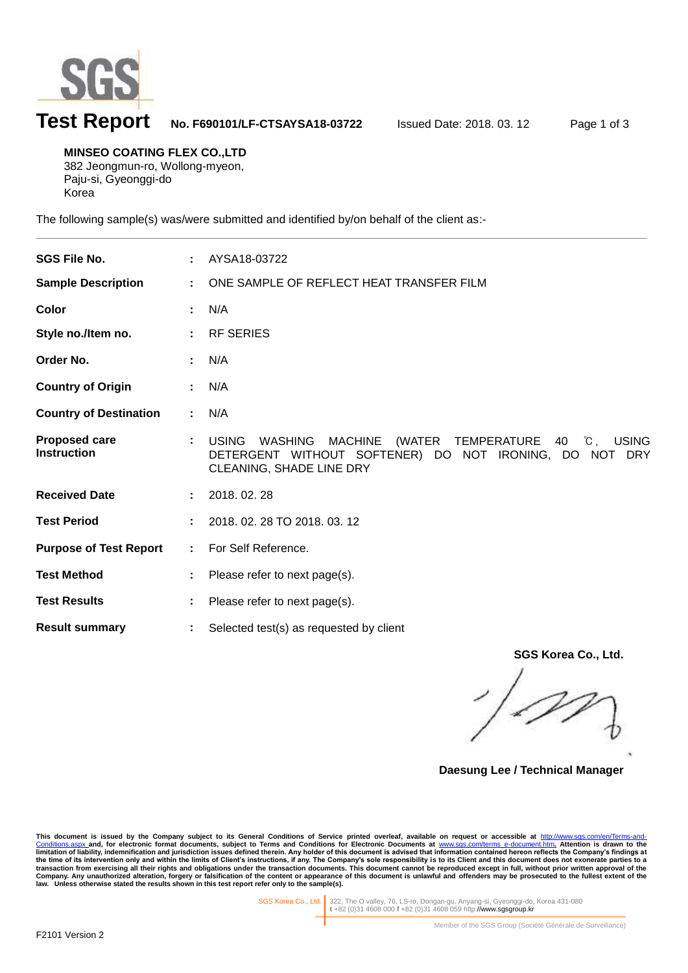

l

# **Test Report No. F690101/LF-CTSAYSA18-03722** Issued Date: 2018. 03. 12 Page 1 of 3

**MINSEO COATING FLEX CO.,LTD** 382 Jeongmun-ro, Wollong-myeon, Paju-si, Gyeonggi-do Korea

The following sample(s) was/were submitted and identified by/on behalf of the client as:-

| <b>SGS File No.</b>                        |    | AYSA18-03722                                                                                                                                                                                                 |
|--------------------------------------------|----|--------------------------------------------------------------------------------------------------------------------------------------------------------------------------------------------------------------|
| <b>Sample Description</b>                  | ÷  | ONE SAMPLE OF REFLECT HEAT TRANSFER FILM                                                                                                                                                                     |
| Color                                      |    | N/A                                                                                                                                                                                                          |
| Style no./Item no.                         |    | <b>RF SERIES</b>                                                                                                                                                                                             |
| Order No.                                  |    | N/A                                                                                                                                                                                                          |
| <b>Country of Origin</b>                   |    | N/A                                                                                                                                                                                                          |
| <b>Country of Destination</b>              | ÷. | N/A                                                                                                                                                                                                          |
| <b>Proposed care</b><br><b>Instruction</b> |    | <b>USING</b><br>(WATER TEMPERATURE<br>$^{\circ}\mathrm{C}$ .<br><b>USING</b><br><b>WASHING</b><br><b>MACHINE</b><br>40<br>DETERGENT WITHOUT SOFTENER) DO NOT IRONING, DO NOT DRY<br>CLEANING, SHADE LINE DRY |
| <b>Received Date</b>                       |    | 2018.02.28                                                                                                                                                                                                   |
| <b>Test Period</b>                         |    | 2018. 02. 28 TO 2018. 03. 12                                                                                                                                                                                 |
| <b>Purpose of Test Report</b>              | ÷. | For Self Reference.                                                                                                                                                                                          |
| <b>Test Method</b>                         |    | Please refer to next page(s).                                                                                                                                                                                |
| <b>Test Results</b>                        |    | Please refer to next page(s).                                                                                                                                                                                |
| <b>Result summary</b>                      |    | Selected test(s) as requested by client                                                                                                                                                                      |

**SGS Korea Co., Ltd.**

**Daesung Lee / Technical Manager**

This document is issued by the Company subject to its General Conditions of Service printed overleaf, available on request or accessible at http://www.sgs.com/en/Terms-and-Conditions for Service printed overleaf, available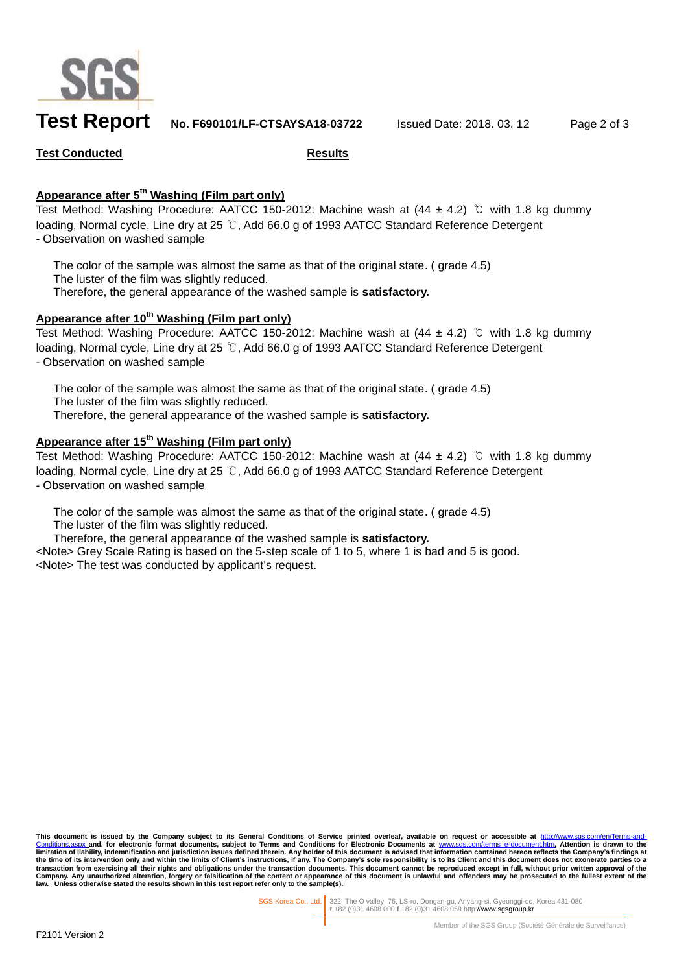

# **Test Report No. F690101/LF-CTSAYSA18-03722** Issued Date: 2018. 03. 12 Page 2 of 3

#### **Test Conducted Results**

### **Appearance after 5 th Washing (Film part only)**

Test Method: Washing Procedure: AATCC 150-2012: Machine wash at  $(44 \pm 4.2)$  ℃ with 1.8 kg dummy loading, Normal cycle, Line dry at 25 ℃, Add 66.0 g of 1993 AATCC Standard Reference Detergent - Observation on washed sample

The color of the sample was almost the same as that of the original state. ( grade 4.5) The luster of the film was slightly reduced. Therefore, the general appearance of the washed sample is **satisfactory.**

#### **Appearance after 10th Washing (Film part only)**

Test Method: Washing Procedure: AATCC 150-2012: Machine wash at (44 ± 4.2) ℃ with 1.8 kg dummy loading, Normal cycle, Line dry at 25 ℃, Add 66.0 g of 1993 AATCC Standard Reference Detergent - Observation on washed sample

The color of the sample was almost the same as that of the original state. (grade 4.5) The luster of the film was slightly reduced. Therefore, the general appearance of the washed sample is **satisfactory.**

## **Appearance after 15 th Washing (Film part only)**

Test Method: Washing Procedure: AATCC 150-2012: Machine wash at  $(44 \pm 4.2)$  °C with 1.8 kg dummy loading, Normal cycle, Line dry at 25 ℃, Add 66.0 g of 1993 AATCC Standard Reference Detergent - Observation on washed sample

The color of the sample was almost the same as that of the original state. ( grade 4.5) The luster of the film was slightly reduced.

Therefore, the general appearance of the washed sample is **satisfactory.**

<Note> Grey Scale Rating is based on the 5-step scale of 1 to 5, where 1 is bad and 5 is good. <Note> The test was conducted by applicant's request.

This document is issued by the Company subject to its General Conditions of Service printed overleaf, available on request or accessible at <u>http://www.sgs.com/en/Terms-and-</u><br><u>[Conditions.aspx](http://www.sgs.com/en/Terms-and-Conditions.aspx) a</u>nd, for electronic format do **limitation of liability, indemnification and jurisdiction issues defined therein.** Any holder of this document is advised that information contained hereon reflects the Company's findings at limitation of liability, indem the time of its intervention only and within the limits of Client's instructions, if any. The Company's sole responsibility is to its Client and this document does not exonerate parties to a<br>transaction from exercising all **law. Unless otherwise stated the results shown in this test report refer only to the sample(s).**